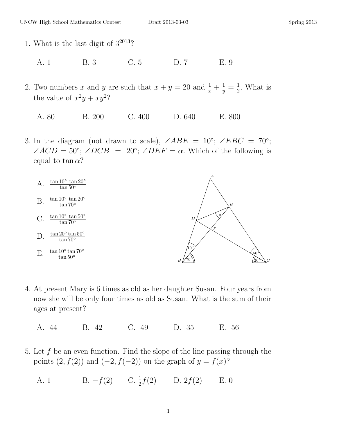- 1. What is the last digit of  $3^{2013}$ ?
	- A. 1 B. 3 C. 5 D. 7 E. 9
- 2. Two numbers x and y are such that  $x + y = 20$  and  $\frac{1}{x} + \frac{1}{y} = \frac{1}{2}$  $\frac{1}{2}$ . What is the value of  $x^2y + xy^2$ ?
	- A. 80 B. 200 C. 400 D. 640 E. 800
- 3. In the diagram (not drawn to scale),  $\angle ABE = 10^{\circ}$ ;  $\angle EBC = 70^{\circ}$ ;  $\angle ACD = 50^{\circ}; \angle DCB = 20^{\circ}; \angle DEF = \alpha.$  Which of the following is equal to tan  $\alpha$ ?



- 4. At present Mary is 6 times as old as her daughter Susan. Four years from now she will be only four times as old as Susan. What is the sum of their ages at present?
	- A. 44 B. 42 C. 49 D. 35 E. 56
- 5. Let  $f$  be an even function. Find the slope of the line passing through the points  $(2, f(2))$  and  $(-2, f(-2))$  on the graph of  $y = f(x)$ ?
	- A. 1 B.  $-f(2)$  C.  $\frac{1}{2}f(2)$  D.  $2f(2)$  E. 0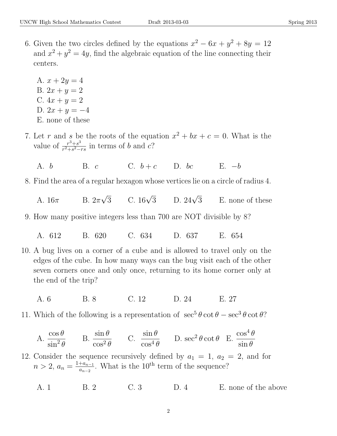6. Given the two circles defined by the equations  $x^2 - 6x + y^2 + 8y = 12$ and  $x^2 + y^2 = 4y$ , find the algebraic equation of the line connecting their centers.

A.  $x + 2y = 4$ B.  $2x + y = 2$ C.  $4x + y = 2$ D.  $2x + y = -4$ E. none of these

- 7. Let r and s be the roots of the equation  $x^2 + bx + c = 0$ . What is the value of  $\frac{r^3+s^3}{r^2+s^2}$  $\frac{r^3+s^3}{r^2+s^2-rs}$  in terms of b and c?
	- A. b B. c C.  $b+c$  D. bc E.  $-b$
- 8. Find the area of a regular hexagon whose vertices lie on a circle of radius 4.
	- A.  $16\pi$  $\sqrt{3}$  C. 16 $\sqrt{3}$ D.  $24\sqrt{3}$ E. none of these
- 9. How many positive integers less than 700 are NOT divisible by 8?
	- A. 612 B. 620 C. 634 D. 637 E. 654
- 10. A bug lives on a corner of a cube and is allowed to travel only on the edges of the cube. In how many ways can the bug visit each of the other seven corners once and only once, returning to its home corner only at the end of the trip?
	- A. 6 B. 8 C. 12 D. 24 E. 27
- 11. Which of the following is a representation of  $\sec^5 \theta \cot \theta \sec^3 \theta \cot \theta$ ?

A. 
$$
\frac{\cos \theta}{\sin^2 \theta}
$$
 B.  $\frac{\sin \theta}{\cos^2 \theta}$  C.  $\frac{\sin \theta}{\cos^4 \theta}$  D.  $\sec^2 \theta \cot \theta$  E.  $\frac{\cos^4 \theta}{\sin \theta}$ 

12. Consider the sequence recursively defined by  $a_1 = 1$ ,  $a_2 = 2$ , and for  $n > 2, a_n = \frac{1+a_{n-1}}{a_{n-2}}$  $\frac{a_{n-1}}{a_{n-2}}$ . What is the 10<sup>th</sup> term of the sequence?

A. 1 B. 2 C. 3 D. 4 E. none of the above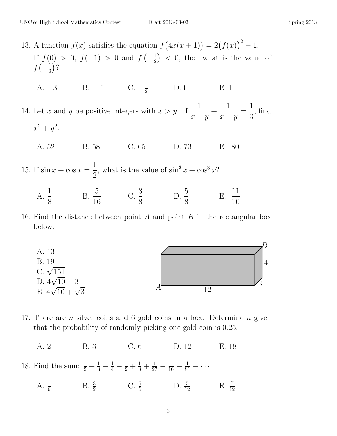13. A function  $f(x)$  satisfies the equation  $f(4x(x+1)) = 2(f(x))^{2} - 1$ . If  $f(0) > 0$ ,  $f(-1) > 0$  and  $f(-\frac{1}{2})$  $(\frac{1}{2})$  < 0, then what is the value of  $f\left(-\frac{1}{2}\right)$  $\frac{1}{2}$ ?

A.  $-3$  B.  $-1$  C.  $-\frac{1}{2}$  D. 0 E. 1

14. Let x and y be positive integers with  $x > y$ . If  $\frac{1}{1}$  $x + y$  $+$ 1  $x - y$ = 1 3 , find  $x^2 + y^2$ .

A. 52 B. 58 C. 65 D. 73 E. 80

15. If  $\sin x + \cos x =$ 1 2 , what is the value of  $\sin^3 x + \cos^3 x$ ?

- $A. \frac{1}{2}$ 8  $B. \frac{5}{16}$ 16 C.  $\frac{3}{5}$ 8 D.  $\frac{5}{9}$ 8  $E. \frac{11}{16}$ 16
- 16. Find the distance between point A and point B in the rectangular box below.



17. There are *n* silver coins and 6 gold coins in a box. Determine *n* given that the probability of randomly picking one gold coin is 0.25.

A. 2 B. 3 C. 6 D. 12 E. 18

18. Find the sum:  $\frac{1}{2} + \frac{1}{3} - \frac{1}{4} - \frac{1}{9} + \frac{1}{8} + \frac{1}{27} - \frac{1}{16} - \frac{1}{81} + \cdots$ 

A.  $\frac{1}{6}$  B.  $\frac{3}{2}$  C.  $\frac{5}{6}$  D.  $\frac{5}{12}$  E.  $\frac{7}{12}$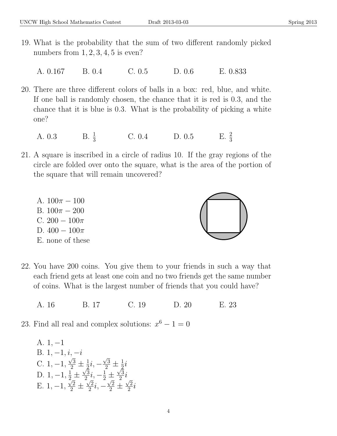- 19. What is the probability that the sum of two different randomly picked numbers from  $1, 2, 3, 4, 5$  is even?
	- A. 0.167 B. 0.4 C. 0.5 D. 0.6 E. 0.833
- 20. There are three different colors of balls in a box: red, blue, and white. If one ball is randomly chosen, the chance that it is red is 0.3, and the chance that it is blue is 0.3. What is the probability of picking a white one?
	- A.  $0.3$  $B. \frac{1}{3}$  $C. 0.4$  D.  $0.5$  $E. \frac{2}{3}$
- 21. A square is inscribed in a circle of radius 10. If the gray regions of the circle are folded over onto the square, what is the area of the portion of the square that will remain uncovered?
	- A.  $100\pi 100$ B.  $100\pi - 200$ C.  $200 - 100\pi$ D.  $400 - 100\pi$ E. none of these



- A. 16 B. 17 C. 19 D. 20 E. 23
- 23. Find all real and complex solutions:  $x^6 1 = 0$

A. 1, −1 B.  $1, -1, i, -i$ C.  $1, -1,$  $^{\nu},$  $\frac{\sqrt{3}}{2}\pm\frac{1}{2}$  $\frac{1}{2}i$ ,  $-$ √  $\frac{\sqrt{3}}{2}\pm\frac{1}{2}$  $\frac{1}{2}i$ D.  $1, -1, \frac{1}{2}$   $\pm$ √ 3  $\frac{\sqrt{3}}{2}i, -\frac{1}{2} \pm$ √ 3  $\frac{1}{2} \pm \frac{\sqrt{3}}{2}i, -\frac{1}{2} \pm \frac{\sqrt{3}}{2}i$ E.  $1, -1, \frac{\sqrt{2}}{2} \pm \frac{\sqrt{2}}{2}$  $\frac{\sqrt{2}}{2}i, -\frac{\sqrt{2}}{2} \pm$  $^{\circ}$ 2  $\frac{2}{2}i$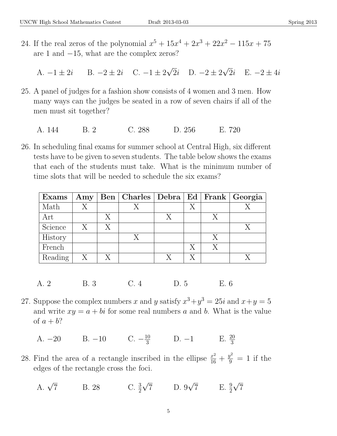24. If the real zeros of the polynomial  $x^5 + 15x^4 + 2x^3 + 22x^2 - 115x + 75$ are 1 and −15, what are the complex zeros?

A.  $-1 \pm 2i$  B.  $-2 \pm 2i$  C.  $-1 \pm 2$ √ 2*i* D.  $-2 \pm 2$ √ 2*i* E.  $-2 \pm 4i$ 

- 25. A panel of judges for a fashion show consists of 4 women and 3 men. How many ways can the judges be seated in a row of seven chairs if all of the men must sit together?
	- A. 144 B. 2 C. 288 D. 256 E. 720
- 26. In scheduling final exams for summer school at Central High, six different tests have to be given to seven students. The table below shows the exams that each of the students must take. What is the minimum number of time slots that will be needed to schedule the six exams?

| $\mathbf{Examples}$ | $\mathbf{A}$ my |   | Ben   Charles   Debra   Ed   Frank   Georgia |   |   |  |
|---------------------|-----------------|---|----------------------------------------------|---|---|--|
| Math                | X               |   |                                              | Х |   |  |
| Art                 |                 | X |                                              |   |   |  |
| Science             | $\mathbf{X}$    | X |                                              |   |   |  |
| History             |                 |   |                                              |   | Х |  |
| French              |                 |   |                                              |   | Х |  |
| Reading             | X               |   |                                              |   |   |  |

A. 2 B. 3 C. 4 D. 5 E. 6

- 27. Suppose the complex numbers x and y satisfy  $x^3 + y^3 = 25i$  and  $x + y = 5$ and write  $xy = a + bi$  for some real numbers a and b. What is the value of  $a + b$ ?
	- A.  $-20$  B.  $-10$  C.  $-\frac{10}{3}$  D.  $-1$  E.  $\frac{20}{3}$
- 28. Find the area of a rectangle inscribed in the ellipse  $\frac{x^2}{16} + \frac{y^2}{9} = 1$  if the edges of the rectangle cross the foci.
	- A.  $\sqrt{7}$ B. 28 2 √ 7 D. 9 √  $\overline{7}$  E.  $\frac{9}{2}$ √ 7